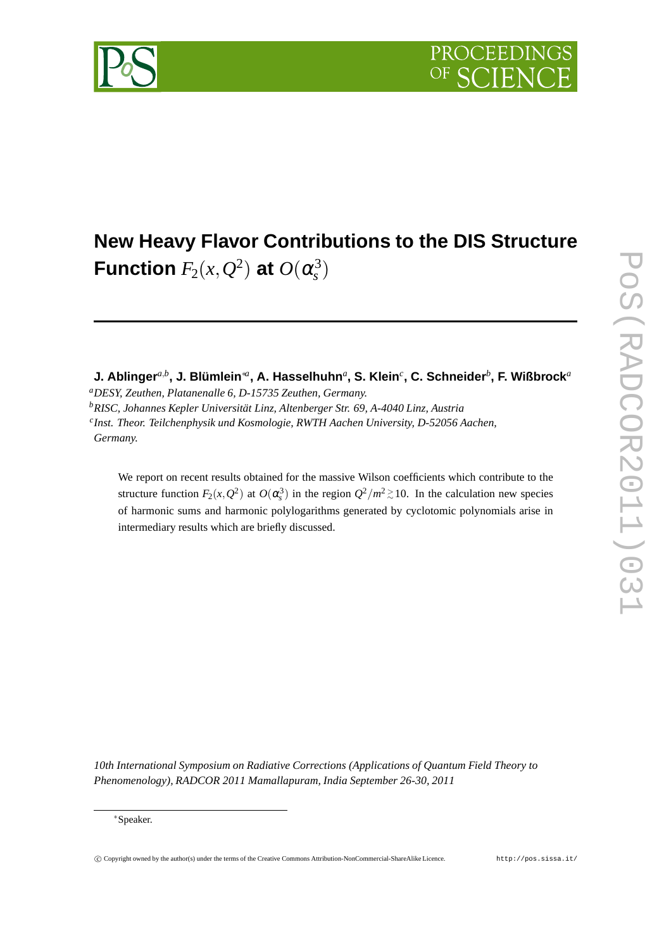



# **New Heavy Flavor Contributions to the DIS Structure** Function  $F_2(x,Q^2)$  at  $O(\alpha_s^3)$ *s* )

**J. Ablinger***a*,*<sup>b</sup>* **, J. Blümlein**∗*<sup>a</sup>* **, A. Hasselhuhn***<sup>a</sup>* **, S. Klein***<sup>c</sup>* **, C. Schneider***<sup>b</sup>* **, F. Wißbrock***<sup>a</sup>*

*<sup>a</sup>DESY, Zeuthen, Platanenalle 6, D-15735 Zeuthen, Germany.*

We report on recent results obtained for the massive Wilson coefficients which contribute to the structure function  $F_2(x, Q^2)$  at  $O(\alpha_s^3)$  in the region  $Q^2/m^2 \gtrsim 10$ . In the calculation new species of harmonic sums and harmonic polylogarithms generated by cyclotomic polynomials arise in intermediary results which are briefly discussed.

*10th International Symposium on Radiative Corrections (Applications of Quantum Field Theory to Phenomenology), RADCOR 2011 Mamallapuram, India September 26-30, 2011*

*<sup>b</sup>RISC, Johannes Kepler Universität Linz, Altenberger Str. 69, A-4040 Linz, Austria*

*c Inst. Theor. Teilchenphysik und Kosmologie, RWTH Aachen University, D-52056 Aachen, Germany.*

<sup>∗</sup>Speaker.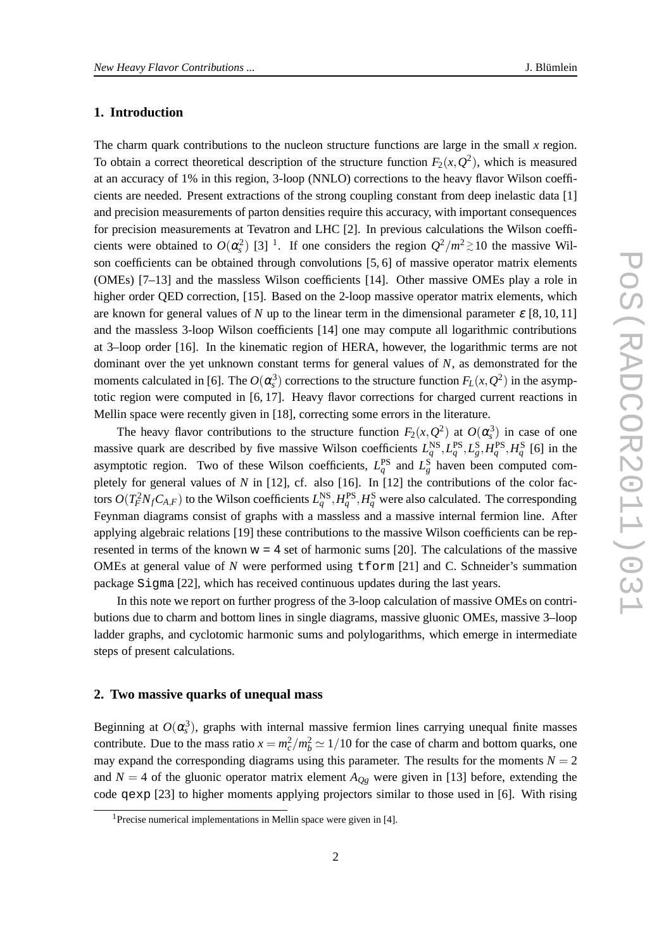# **1. Introduction**

The charm quark contributions to the nucleon structure functions are large in the small *x* region. To obtain a correct theoretical description of the structure function  $F_2(x, Q^2)$ , which is measured at an accuracy of 1% in this region, 3-loop (NNLO) corrections to the heavy flavor Wilson coefficients are needed. Present extractions of the strong coupling constant from deep inelastic data [1] and precision measurements of parton densities require this accuracy, with important consequences for precision measurements at Tevatron and LHC [2]. In previous calculations the Wilson coefficients were obtained to  $O(\alpha_s^2)$  [3] <sup>1</sup>. If one considers the region  $Q^2/m^2 \gtrsim 10$  the massive Wilson coefficients can be obtained through convolutions [5, 6] of massive operator matrix elements (OMEs) [7–13] and the massless Wilson coefficients [14]. Other massive OMEs play a role in higher order QED correction, [15]. Based on the 2-loop massive operator matrix elements, which are known for general values of *N* up to the linear term in the dimensional parameter  $\varepsilon$  [8, 10, 11] and the massless 3-loop Wilson coefficients [14] one may compute all logarithmic contributions at 3–loop order [16]. In the kinematic region of HERA, however, the logarithmic terms are not dominant over the yet unknown constant terms for general values of *N*, as demonstrated for the moments calculated in [6]. The  $O(\alpha_s^3)$  corrections to the structure function  $F_L(x, Q^2)$  in the asymptotic region were computed in [6, 17]. Heavy flavor corrections for charged current reactions in Mellin space were recently given in [18], correcting some errors in the literature.

The heavy flavor contributions to the structure function  $F_2(x, Q^2)$  at  $O(\alpha_s^3)$  in case of one massive quark are described by five massive Wilson coefficients  $L_q^{\text{NS}}, L_q^{\text{PS}}, L_g^{\text{S}}, H_q^{\text{PS}}, H_q^{\text{S}}$  [6] in the asymptotic region. Two of these Wilson coefficients,  $L_q^{PS}$  and  $L_g^S$  haven been computed completely for general values of *N* in [12], cf. also [16]. In [12] the contributions of the color factors  $O(T_F^2 N_f C_{A,F})$  to the Wilson coefficients  $L_q^{NS}, H_q^{PS}, H_q^S$  were also calculated. The corresponding Feynman diagrams consist of graphs with a massless and a massive internal fermion line. After applying algebraic relations [19] these contributions to the massive Wilson coefficients can be represented in terms of the known  $w = 4$  set of harmonic sums [20]. The calculations of the massive OMEs at general value of *N* were performed using tform [21] and C. Schneider's summation package Sigma [22], which has received continuous updates during the last years.

In this note we report on further progress of the 3-loop calculation of massive OMEs on contributions due to charm and bottom lines in single diagrams, massive gluonic OMEs, massive 3–loop ladder graphs, and cyclotomic harmonic sums and polylogarithms, which emerge in intermediate steps of present calculations.

#### **2. Two massive quarks of unequal mass**

Beginning at  $O(\alpha_s^3)$ , graphs with internal massive fermion lines carrying unequal finite masses contribute. Due to the mass ratio  $x = m_c^2/m_b^2 \approx 1/10$  for the case of charm and bottom quarks, one may expand the corresponding diagrams using this parameter. The results for the moments  $N = 2$ and  $N = 4$  of the gluonic operator matrix element  $A_{Qg}$  were given in [13] before, extending the code qexp [23] to higher moments applying projectors similar to those used in [6]. With rising

<sup>&</sup>lt;sup>1</sup> Precise numerical implementations in Mellin space were given in [4].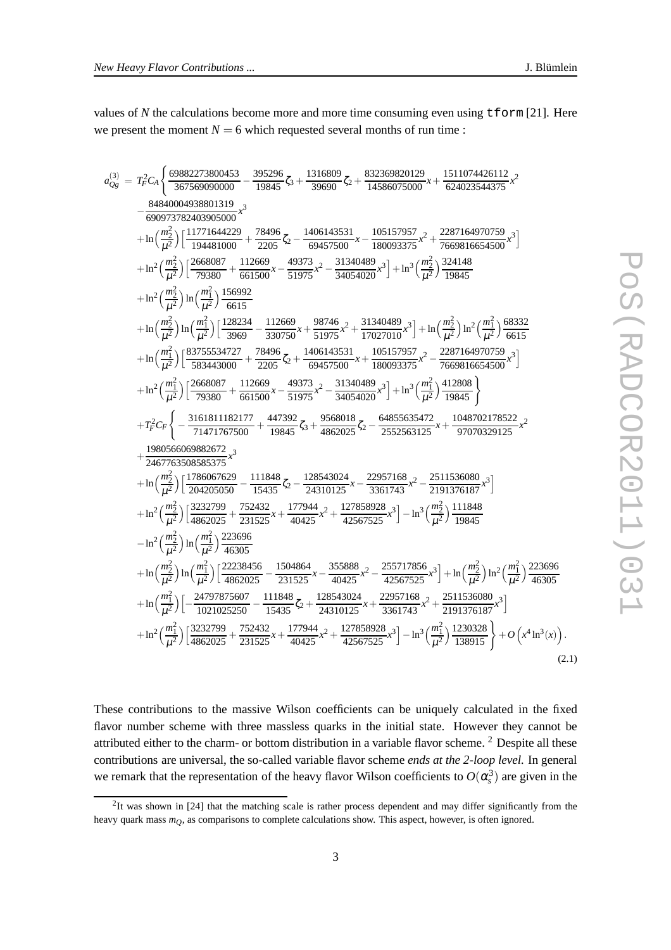values of N the calculations become more and more time consuming even using  $t$  form [21]. Here we present the moment  $N = 6$  which requested several months of run time :

$$
a_{0s}^{(3)} = T_r^2 C_A \left\{ \frac{69882273800453}{367569090000} - \frac{395296}{19845} \zeta_3 + \frac{1316809}{39690} \zeta_2 + \frac{832369820129}{14586075000} \pi + \frac{1511074426112}{624023544375} \pi^2 \right\}
$$
  
\n
$$
- \frac{8484004938801399}{690973782403905000} \pi^3
$$
\n
$$
+ \ln \left( \frac{m_2^2}{\mu^2} \right) \left[ \frac{11771644229}{19481000} + \frac{78496}{2205} \zeta_2 - \frac{1406143531}{69457500} \pi - \frac{105157957}{180093375} \pi^2 + \frac{2287164970759}{7669816654500} \pi^3 \right]
$$
\n
$$
+ \ln^2 \left( \frac{m_2^2}{\mu^2} \right) \ln \left( \frac{m_1^2}{\mu^2} \right) \frac{1666982}{6615} + \frac{112669}{6415} \pi - \frac{49373}{330750} \pi + \frac{31340489}{31975} \pi^3 \right] + \ln^3 \left( \frac{m_2^2}{\mu^2} \right) \frac{124148}{19845}
$$
\n
$$
+ \ln \left( \frac{m_1^2}{\mu^2} \right) \ln \left( \frac{m_1^2}{\mu^2} \right) \frac{128234}{969} - \frac{112669}{330750} \pi + \frac{98146}{51975} \pi^2 + \frac{31340489}{17027010} \pi^3 \right] + \ln \left( \frac{m_2^2}{\mu^2} \right) \frac{12}{6615}
$$
\n
$$
+ \ln \left( \frac{
$$

These contributions to the massive Wilson coefficients can be uniquely calculated in the fixed flavor number scheme with three massless quarks in the initial state. However they cannot be attributed either to the charm- or bottom distribution in a variable flavor scheme. <sup>2</sup> Despite all these contributions are universal, the so-called variable flavor scheme *ends at the 2-loop level.* In general we remark that the representation of the heavy flavor Wilson coefficients to  $O(\alpha_s^3)$  are given in the

 $2$ It was shown in [24] that the matching scale is rather process dependent and may differ significantly from the heavy quark mass *mQ*, as comparisons to complete calculations show. This aspect, however, is often ignored.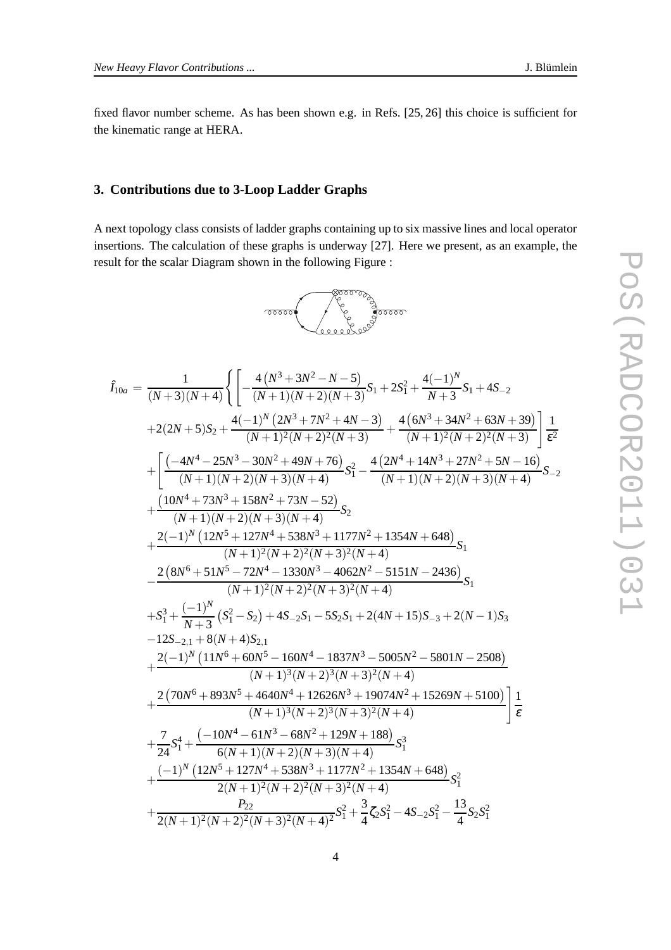fixed flavor number scheme. As has been shown e.g. in Refs. [25, 26] this choice is sufficient for the kinematic range at HERA.

#### **3. Contributions due to 3-Loop Ladder Graphs**

A next topology class consists of ladder graphs containing up to six massive lines and local operator insertions. The calculation of these graphs is underway [27]. Here we present, as an example, the result for the scalar Diagram shown in the following Figure :

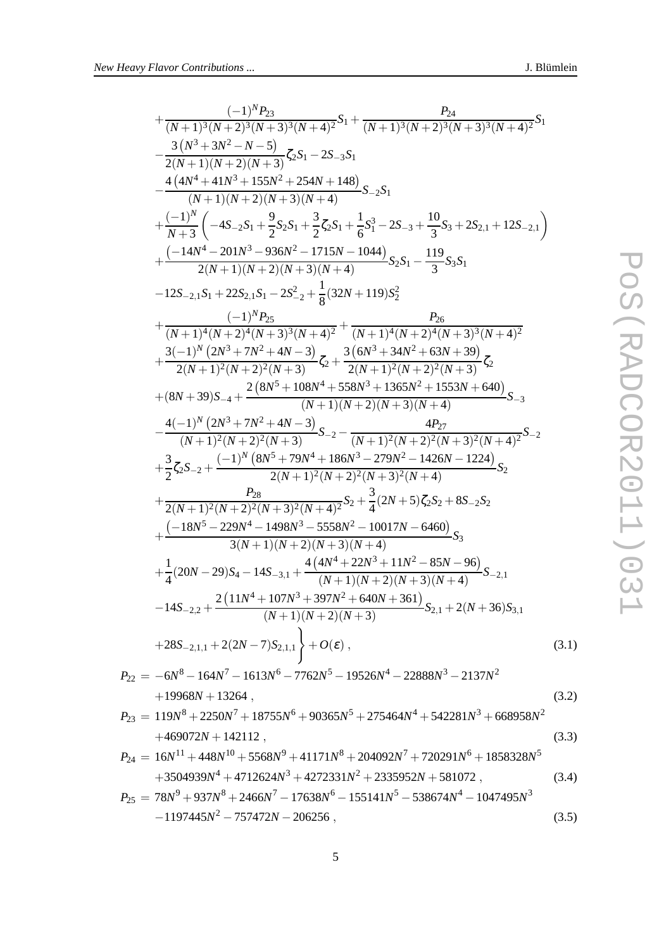$$
+\frac{(-1)^{N}P_{23}}{(N+1)^{3}(N+2)^{3}(N+3)^{3}(N+4)^{2}}S_{1} + \frac{P_{24}}{(N+1)^{3}(N+2)^{3}(N+3)^{3}(N+4)^{2}}S_{1}
$$
\n
$$
-\frac{3(N^{3}+3N^{2}-N-5)}{2(N+1)(N+2)(N+3)}\zeta_{2}S_{1}-2S_{-3}S_{1}
$$
\n
$$
-\frac{4(4N^{4}+41N^{3}+155N^{2}+254N+148)}{(N+1)(N+2)(N+3)(N+4)}S_{-2}S_{1}
$$
\n
$$
+\frac{(-1)^{N}}{N+3}\left(-4S_{-2}S_{1}+\frac{9}{2}S_{2}S_{1}+\frac{3}{2}\zeta_{2}S_{1}+\frac{1}{6}S_{1}^{3}-2S_{-3}+\frac{10}{3}S_{3}+2S_{2,1}+12S_{-2,1}\right)
$$
\n
$$
+\frac{(-14N^{4}-201N^{3}-936N^{2}-1715N-1044)}{2(N+1)(N+2)(N+3)(N+4)}S_{2}S_{1}-\frac{119}{3}S_{3}S_{1}
$$
\n
$$
-12S_{-2,1}S_{1}+22S_{2,1}S_{1}-2S_{-2}^{2}+\frac{1}{8}(32N+119)S_{2}^{2}
$$
\n
$$
+\frac{(-1)^{N}P_{25}}{(N+1)^{4}(N+2)^{4}(N+3)^{3}(N+4)^{2}}+\frac{(-1)^{N}P_{25}}{2(N+1)^{2}(N+2)^{4}(N+3)^{3}(N+4)^{2}}
$$
\n
$$
+\frac{3(-1)^{N}(2N^{3}+7N^{2}+4N-3)}{2(N+1)^{2}(N+2)^{2}(N+3)}\zeta_{2}+\frac{2(8N^{5}+108N^{4}+558N^{3}+1365N^{2}+1553N+640)}{(N+1)(N+2)(N+3)(N+4)}S_{-3}
$$
\n
$$
-\frac{4(-1)^{N}(2N^{3}+7N^{2}+4N-3)}{(N+1)^
$$

$$
P_{22} = -6N^8 - 164N^7 - 1613N^6 - 7762N^5 - 19526N^4 - 22888N^3 - 2137N^2
$$
  
+19968N + 13264 , (3.2)

$$
P_{23} = 119N^8 + 2250N^7 + 18755N^6 + 90365N^5 + 275464N^4 + 542281N^3 + 668958N^2
$$
  
+469072N + 142112, (3.3)

$$
P_{24} = 16N^{11} + 448N^{10} + 5568N^9 + 41171N^8 + 204092N^7 + 720291N^6 + 1858328N^5
$$
  
+3504939N<sup>4</sup> + 4712624N<sup>3</sup> + 4272331N<sup>2</sup> + 2335952N + 581072 , (3.4)  

$$
P_{25} = 78N^9 + 937N^8 + 2466N^7 - 17638N^6 - 155141N^5 - 538674N^4 - 1047495N^3
$$
  
-1197445N<sup>2</sup> - 757472N - 206256 , (3.5)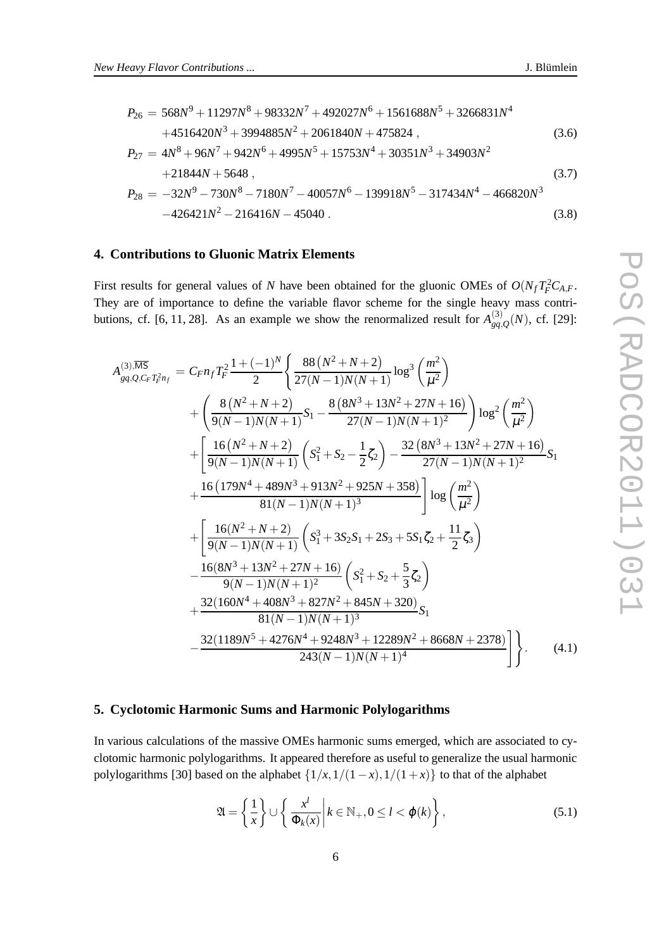$$
P_{26} = 568N^{9} + 11297N^{8} + 98332N^{7} + 492027N^{6} + 1561688N^{5} + 3266831N^{4}
$$
  
\n
$$
+4516420N^{3} + 3994885N^{2} + 2061840N + 475824,
$$
  
\n
$$
P_{27} = 4N^{8} + 96N^{7} + 942N^{6} + 4995N^{5} + 15753N^{4} + 30351N^{3} + 34903N^{2}
$$
  
\n
$$
+21844N + 5648,
$$
  
\n
$$
P_{28} = -32N^{9} - 730N^{8} - 7180N^{7} - 40057N^{6} - 139918N^{5} - 317434N^{4} - 466820N^{3}
$$
  
\n
$$
-426421N^{2} - 216416N - 45040.
$$
  
\n(3.8)

# **4. Contributions to Gluonic Matrix Elements**

First results for general values of *N* have been obtained for the gluonic OMEs of  $O(N_f T_F^2 C_{A,F}$ . They are of importance to define the variable flavor scheme for the single heavy mass contributions, cf. [6, 11, 28]. As an example we show the renormalized result for  $A_{oa}^{(3)}$  $g_{q,Q}^{(3)}(N)$ , cf. [29]:

$$
A_{gq,Q,C_F T_F^2 n_f}^{(3),\overline{\rm MS}} = C_F n_f T_F^2 \frac{1 + (-1)^N}{2} \left\{ \frac{88 (N^2 + N + 2)}{27(N - 1)N(N + 1)} \log^3 \left( \frac{m^2}{\mu^2} \right) \right.+ \left( \frac{8 (N^2 + N + 2)}{9(N - 1)N(N + 1)} S_1 - \frac{8 (8N^3 + 13N^2 + 27N + 16)}{27(N - 1)N(N + 1)^2} \right) \log^2 \left( \frac{m^2}{\mu^2} \right) + \left[ \frac{16 (N^2 + N + 2)}{9(N - 1)N(N + 1)} \left( S_1^2 + S_2 - \frac{1}{2} \zeta_2 \right) - \frac{32 (8N^3 + 13N^2 + 27N + 16)}{27(N - 1)N(N + 1)^2} S_1 \right. + \frac{16 (179N^4 + 489N^3 + 913N^2 + 925N + 358)}{81(N - 1)N(N + 1)^3} \left[ \log \left( \frac{m^2}{\mu^2} \right) \right. + \left[ \frac{16(N^2 + N + 2)}{9(N - 1)N(N + 1)} \left( S_1^3 + 3S_2 S_1 + 2S_3 + 5S_1 \zeta_2 + \frac{11}{2} \zeta_3 \right) \right. - \frac{16(8N^3 + 13N^2 + 27N + 16)}{9(N - 1)N(N + 1)^2} \left( S_1^2 + S_2 + \frac{5}{3} \zeta_2 \right) + \frac{32(160N^4 + 408N^3 + 827N^2 + 845N + 320)}{81(N - 1)N(N + 1)^3} S_1 - \frac{32(1189N^5 + 4276N^4 + 9248N^3 + 12289N^2 + 8668N + 2378)}{243(N - 1)N(N + 1)^4} \right\}.
$$
 (4.1)

# **5. Cyclotomic Harmonic Sums and Harmonic Polylogarithms**

In various calculations of the massive OMEs harmonic sums emerged, which are associated to cyclotomic harmonic polylogarithms. It appeared therefore as useful to generalize the usual harmonic polylogarithms [30] based on the alphabet  $\{1/x, 1/(1-x), 1/(1+x)\}$  to that of the alphabet

$$
\mathfrak{A} = \left\{ \frac{1}{x} \right\} \cup \left\{ \left. \frac{x^l}{\Phi_k(x)} \right| k \in \mathbb{N}_+, 0 \le l < \varphi(k) \right\},\tag{5.1}
$$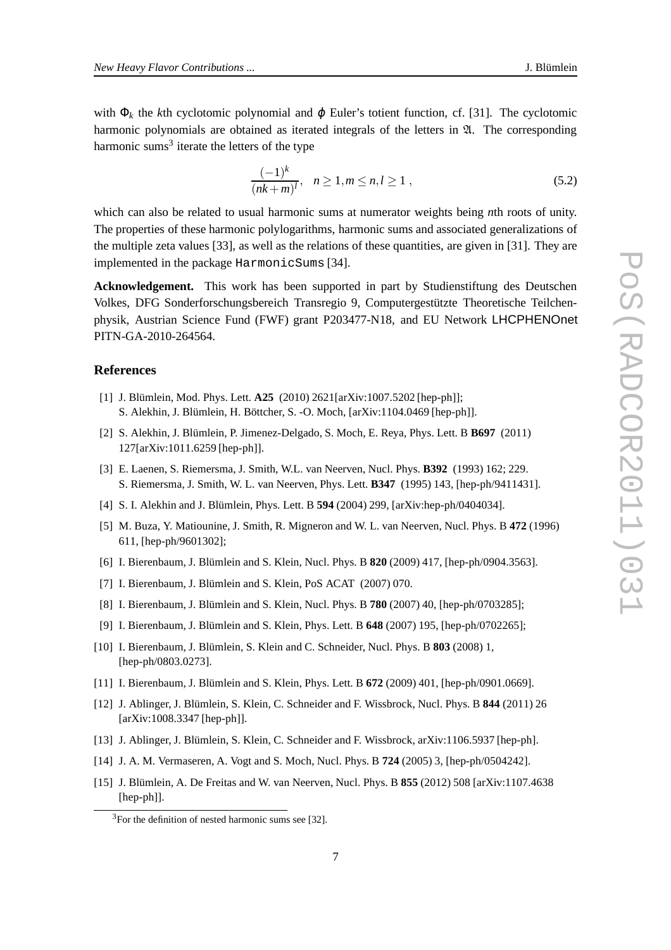with  $\Phi_k$  the *k*th cyclotomic polynomial and  $\varphi$  Euler's totient function, cf. [31]. The cyclotomic harmonic polynomials are obtained as iterated integrals of the letters in  $\mathfrak{A}$ . The corresponding harmonic sums<sup>3</sup> iterate the letters of the type

$$
\frac{(-1)^k}{(nk+m)^l}, \quad n \ge 1, m \le n, l \ge 1,
$$
\n(5.2)

which can also be related to usual harmonic sums at numerator weights being *n*th roots of unity. The properties of these harmonic polylogarithms, harmonic sums and associated generalizations of the multiple zeta values [33], as well as the relations of these quantities, are given in [31]. They are implemented in the package HarmonicSums [34].

**Acknowledgement.** This work has been supported in part by Studienstiftung des Deutschen Volkes, DFG Sonderforschungsbereich Transregio 9, Computergestützte Theoretische Teilchenphysik, Austrian Science Fund (FWF) grant P203477-N18, and EU Network LHCPHENOnet PITN-GA-2010-264564.

# **References**

- [1] J. Blümlein, Mod. Phys. Lett. **A25** (2010) 2621[arXiv:1007.5202 [hep-ph]]; S. Alekhin, J. Blümlein, H. Böttcher, S. -O. Moch, [arXiv:1104.0469 [hep-ph]].
- [2] S. Alekhin, J. Blümlein, P. Jimenez-Delgado, S. Moch, E. Reya, Phys. Lett. B **B697** (2011) 127[arXiv:1011.6259 [hep-ph]].
- [3] E. Laenen, S. Riemersma, J. Smith, W.L. van Neerven, Nucl. Phys. **B392** (1993) 162; 229. S. Riemersma, J. Smith, W. L. van Neerven, Phys. Lett. **B347** (1995) 143, [hep-ph/9411431].
- [4] S. I. Alekhin and J. Blümlein, Phys. Lett. B **594** (2004) 299, [arXiv:hep-ph/0404034].
- [5] M. Buza, Y. Matiounine, J. Smith, R. Migneron and W. L. van Neerven, Nucl. Phys. B **472** (1996) 611, [hep-ph/9601302];
- [6] I. Bierenbaum, J. Blümlein and S. Klein, Nucl. Phys. B **820** (2009) 417, [hep-ph/0904.3563].
- [7] I. Bierenbaum, J. Blümlein and S. Klein, PoS ACAT (2007) 070.
- [8] I. Bierenbaum, J. Blümlein and S. Klein, Nucl. Phys. B **780** (2007) 40, [hep-ph/0703285];
- [9] I. Bierenbaum, J. Blümlein and S. Klein, Phys. Lett. B **648** (2007) 195, [hep-ph/0702265];
- [10] I. Bierenbaum, J. Blümlein, S. Klein and C. Schneider, Nucl. Phys. B **803** (2008) 1, [hep-ph/0803.0273].
- [11] I. Bierenbaum, J. Blümlein and S. Klein, Phys. Lett. B **672** (2009) 401, [hep-ph/0901.0669].
- [12] J. Ablinger, J. Blümlein, S. Klein, C. Schneider and F. Wissbrock, Nucl. Phys. B **844** (2011) 26 [arXiv:1008.3347 [hep-ph]].
- [13] J. Ablinger, J. Blümlein, S. Klein, C. Schneider and F. Wissbrock, arXiv:1106.5937 [hep-ph].
- [14] J. A. M. Vermaseren, A. Vogt and S. Moch, Nucl. Phys. B **724** (2005) 3, [hep-ph/0504242].
- [15] J. Blümlein, A. De Freitas and W. van Neerven, Nucl. Phys. B **855** (2012) 508 [arXiv:1107.4638 [hep-ph]].

 $3$ For the definition of nested harmonic sums see [32].